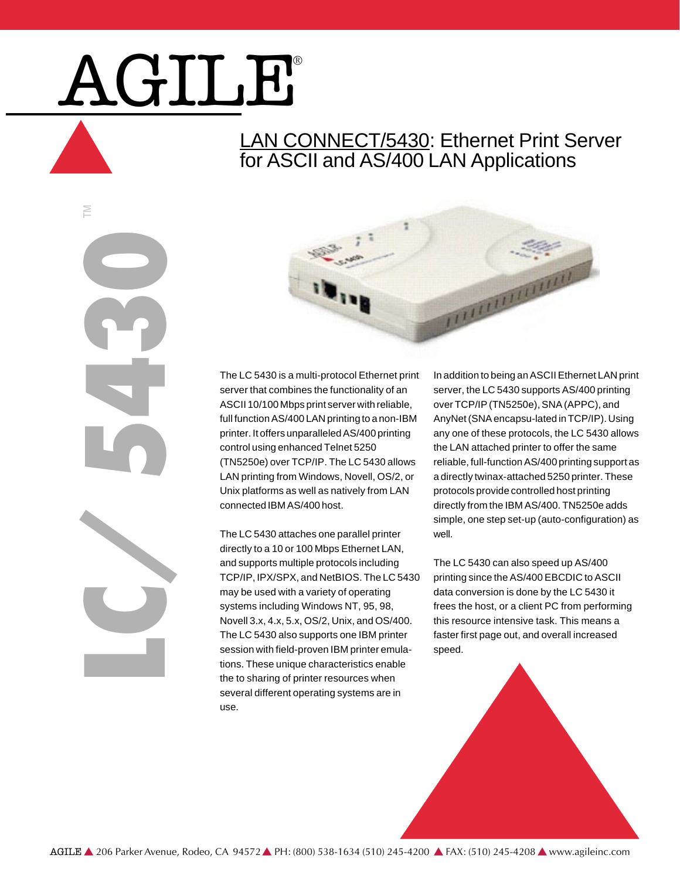# AGILE®

### LAN CONNECT/5430: Ethernet Print Server for ASCII and AS/400 LAN Applications

LC/ 5430

홑



The LC 5430 is a multi-protocol Ethernet print server that combines the functionality of an ASCII 10/100 Mbps print server with reliable, full function AS/400 LAN printing to a non-IBM printer. It offers unparalleled AS/400 printing control using enhanced Telnet 5250 (TN5250e) over TCP/IP. The LC 5430 allows LAN printing from Windows, Novell, OS/2, or Unix platforms as well as natively from LAN connected IBM AS/400 host.

The LC 5430 attaches one parallel printer directly to a 10 or 100 Mbps Ethernet LAN, and supports multiple protocols including TCP/IP, IPX/SPX, and NetBIOS. The LC 5430 may be used with a variety of operating systems including Windows NT, 95, 98, Novell 3.x, 4.x, 5.x, OS/2, Unix, and OS/400. The LC 5430 also supports one IBM printer session with field-proven IBM printer emulations. These unique characteristics enable the to sharing of printer resources when several different operating systems are in use.

In addition to being an ASCII Ethernet LAN print server, the LC 5430 supports AS/400 printing over TCP/IP (TN5250e), SNA (APPC), and AnyNet (SNA encapsu-lated in TCP/IP). Using any one of these protocols, the LC 5430 allows the LAN attached printer to offer the same reliable, full-function AS/400 printing support as a directly twinax-attached 5250 printer. These protocols provide controlled host printing directly from the IBM AS/400. TN5250e adds simple, one step set-up (auto-configuration) as well.

The LC 5430 can also speed up AS/400 printing since the AS/400 EBCDIC to ASCII data conversion is done by the LC 5430 it frees the host, or a client PC from performing this resource intensive task. This means a faster first page out, and overall increased speed.